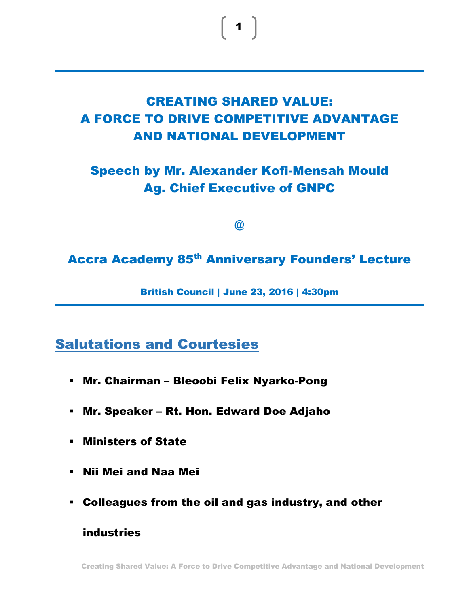# **CREATING SHARED VALUE: A FORCE TO DRIVE COMPETITIVE ADVANTAGE AND NATIONAL DEVELOPMENT**

**Speech by Mr. Alexander Kofi-Mensah Mould Ag. Chief Executive of GNPC**

**@**

**Accra Academy 85th Anniversary Founders' Lecture**

**British Council | June 23, 2016 | 4:30pm**

**Salutations and Courtesies**

- **Mr. Chairman – Bleoobi Felix Nyarko-Pong**
- **Mr. Speaker – Rt. Hon. Edward Doe Adjaho**
- **Ministers of State**
- **Nii Mei and Naa Mei**
- **Colleagues from the oil and gas industry, and other**

**industries** 

**Creating Shared Value: A Force to Drive Competitive Advantage and National Development**

 $\begin{array}{|c|c|c|c|}\n\hline\n\bullet & \\\hline\n\end{array}$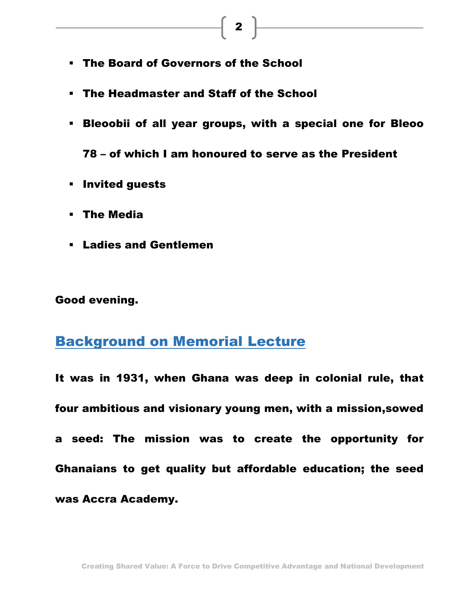- **The Board of Governors of the School**
- **The Headmaster and Staff of the School**
- **Bleoobii of all year groups, with a special one for Bleoo**

**78 – of which I am honoured to serve as the President**

- **Invited guests**
- **The Media**
- **Ladies and Gentlemen**

**Good evening.**

# **Background on Memorial Lecture**

**It was in 1931, when Ghana was deep in colonial rule, that four ambitious and visionary young men, with a mission,sowed a seed: The mission was to create the opportunity for Ghanaians to get quality but affordable education; the seed was Accra Academy.**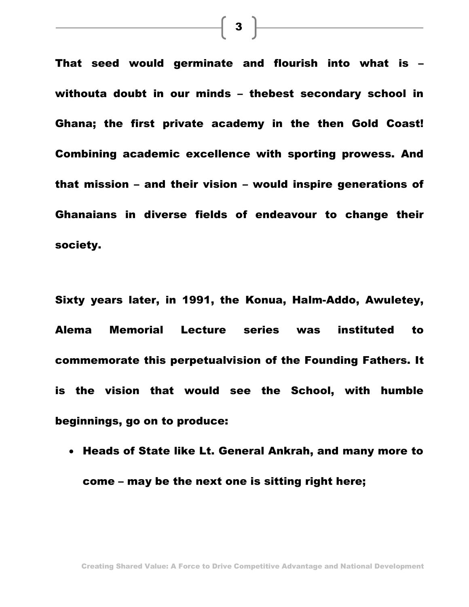**That seed would germinate and flourish into what is – withouta doubt in our minds – thebest secondary school in Ghana; the first private academy in the then Gold Coast! Combining academic excellence with sporting prowess. And that mission – and their vision – would inspire generations of Ghanaians in diverse fields of endeavour to change their society.**

**Sixty years later, in 1991, the Konua, Halm-Addo, Awuletey, Alema Memorial Lecture series was instituted to commemorate this perpetualvision of the Founding Fathers. It is the vision that would see the School, with humble beginnings, go on to produce:**

 **Heads of State like Lt. General Ankrah, and many more to come – may be the next one is sitting right here;** 

 $\begin{array}{|c|c|c|}\n\hline\n\textbf{3} & \textbf{\textcolor{red}{\textbf{3}}}\n\end{array}$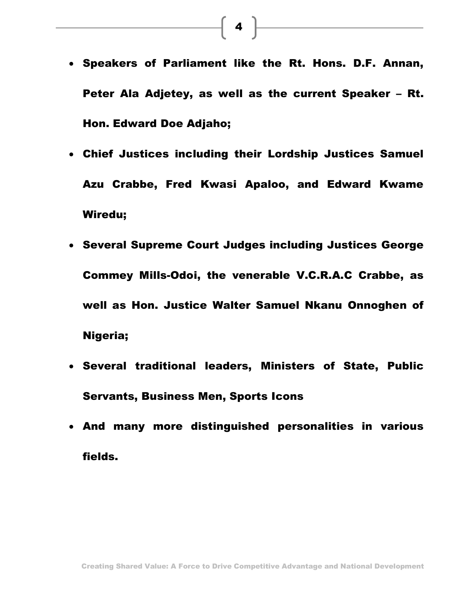- **Speakers of Parliament like the Rt. Hons. D.F. Annan, Peter Ala Adjetey, as well as the current Speaker – Rt. Hon. Edward Doe Adjaho;**
- **Chief Justices including their Lordship Justices Samuel Azu Crabbe, Fred Kwasi Apaloo, and Edward Kwame Wiredu;**
- **Several Supreme Court Judges including Justices George Commey Mills-Odoi, the venerable V.C.R.A.C Crabbe, as well as Hon. Justice Walter Samuel Nkanu Onnoghen of Nigeria;**
- **Several traditional leaders, Ministers of State, Public Servants, Business Men, Sports Icons**
- **And many more distinguished personalities in various fields.**

 $\begin{array}{|c|c|c|}\hline \textbf{4} & \textbf{\color{red}-}\ \hline \end{array}$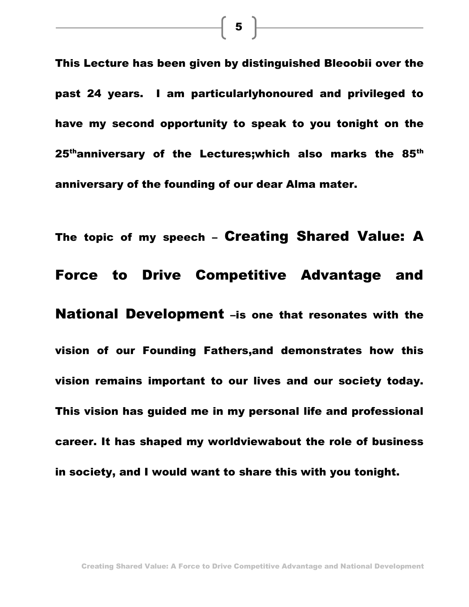**This Lecture has been given by distinguished Bleoobii over the past 24 years. I am particularlyhonoured and privileged to have my second opportunity to speak to you tonight on the 25thanniversary of the Lectures;which also marks the 85th anniversary of the founding of our dear Alma mater.** 

**The topic of my speech – Creating Shared Value: A Force to Drive Competitive Advantage and National Development –is one that resonates with the vision of our Founding Fathers,and demonstrates how this vision remains important to our lives and our society today. This vision has guided me in my personal life and professional career. It has shaped my worldviewabout the role of business in society, and I would want to share this with you tonight.**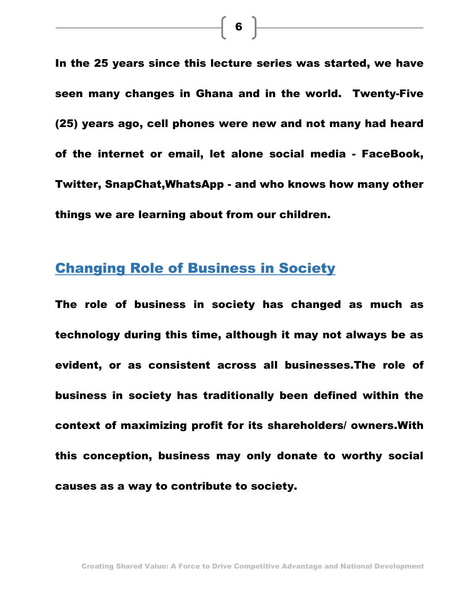**In the 25 years since this lecture series was started, we have seen many changes in Ghana and in the world. Twenty-Five (25) years ago, cell phones were new and not many had heard of the internet or email, let alone social media - FaceBook, Twitter, SnapChat,WhatsApp - and who knows how many other things we are learning about from our children.**

# **Changing Role of Business in Society**

**The role of business in society has changed as much as technology during this time, although it may not always be as evident, or as consistent across all businesses.The role of business in society has traditionally been defined within the context of maximizing profit for its shareholders/ owners.With this conception, business may only donate to worthy social causes as a way to contribute to society.** 

 $\begin{array}{|c|c|c|}\hline \mathbf{6} & \mathbf{\hspace{1.4mm}}\end{array}$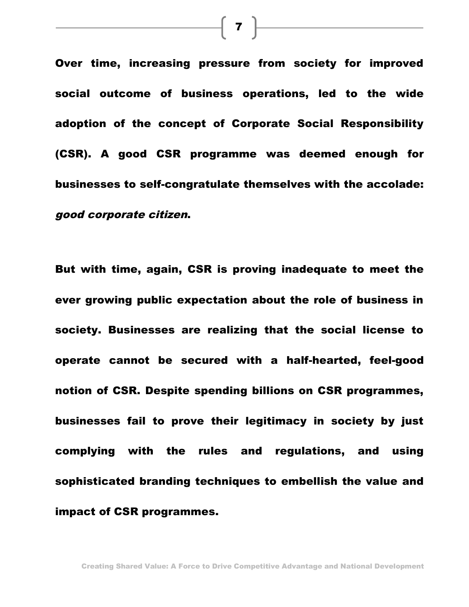**Over time, increasing pressure from society for improved social outcome of business operations, led to the wide adoption of the concept of Corporate Social Responsibility (CSR). A good CSR programme was deemed enough for businesses to self-congratulate themselves with the accolade:**  *good corporate citizen***.** 

**But with time, again, CSR is proving inadequate to meet the ever growing public expectation about the role of business in society. Businesses are realizing that the social license to operate cannot be secured with a half-hearted, feel-good notion of CSR. Despite spending billions on CSR programmes, businesses fail to prove their legitimacy in society by just complying with the rules and regulations, and using sophisticated branding techniques to embellish the value and impact of CSR programmes.**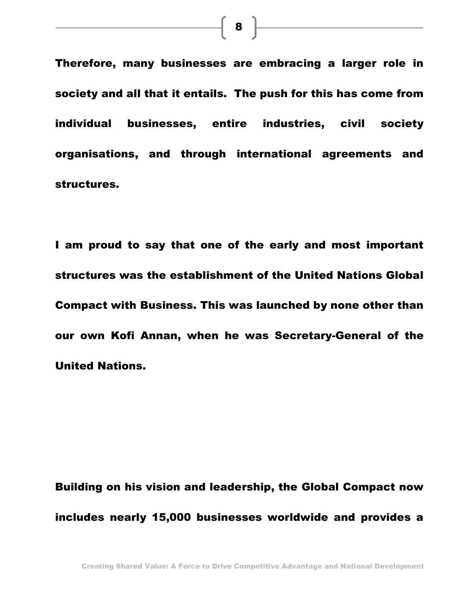**Therefore, many businesses are embracing a larger role in society and all that it entails. The push for this has come from individual businesses, entire industries, civil society organisations, and through international agreements and structures.**

**I am proud to say that one of the early and most important structures was the establishment of the United Nations Global Compact with Business. This was launched by none other than our own Kofi Annan, when he was Secretary-General of the United Nations.** 

**Building on his vision and leadership, the Global Compact now includes nearly 15,000 businesses worldwide and provides a** 

 $\begin{array}{|c|c|c|}\hline \textbf{8} & \textcolor{red}{\overline{}} & \textcolor{red}{\overline{}} \\ \hline \end{array}$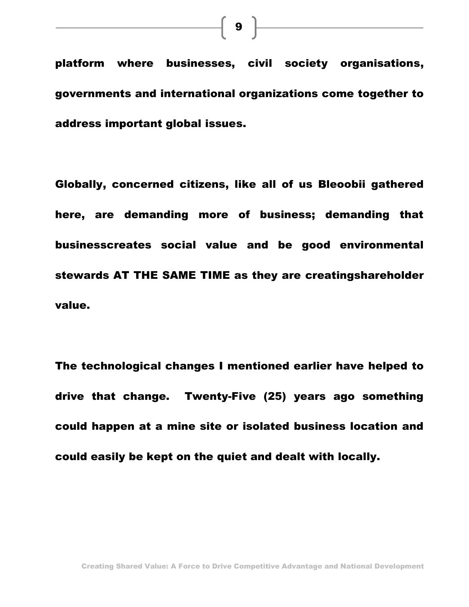**platform where businesses, civil society organisations, governments and international organizations come together to address important global issues.**

**Globally, concerned citizens, like all of us Bleoobii gathered here, are demanding more of business; demanding that businesscreates social value and be good environmental stewards AT THE SAME TIME as they are creatingshareholder value.**

**The technological changes I mentioned earlier have helped to drive that change. Twenty-Five (25) years ago something could happen at a mine site or isolated business location and could easily be kept on the quiet and dealt with locally.**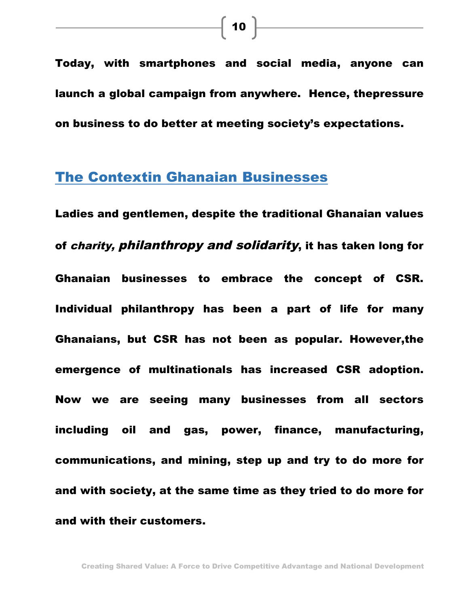**Today, with smartphones and social media, anyone can launch a global campaign from anywhere. Hence, thepressure on business to do better at meeting society's expectations.**

# **The Contextin Ghanaian Businesses**

**Ladies and gentlemen, despite the traditional Ghanaian values of** *charity, philanthropy and solidarity***, it has taken long for Ghanaian businesses to embrace the concept of CSR. Individual philanthropy has been a part of life for many Ghanaians, but CSR has not been as popular. However,the emergence of multinationals has increased CSR adoption. Now we are seeing many businesses from all sectors including oil and gas, power, finance, manufacturing, communications, and mining, step up and try to do more for and with society, at the same time as they tried to do more for and with their customers.**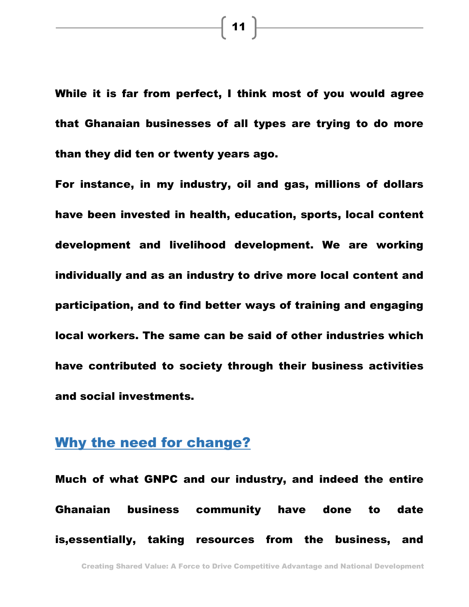**While it is far from perfect, I think most of you would agree that Ghanaian businesses of all types are trying to do more than they did ten or twenty years ago.**

**For instance, in my industry, oil and gas, millions of dollars have been invested in health, education, sports, local content development and livelihood development. We are working individually and as an industry to drive more local content and participation, and to find better ways of training and engaging local workers. The same can be said of other industries which have contributed to society through their business activities and social investments.** 

### **Why the need for change?**

**Much of what GNPC and our industry, and indeed the entire Ghanaian business community have done to date is,essentially, taking resources from the business, and** 

**11**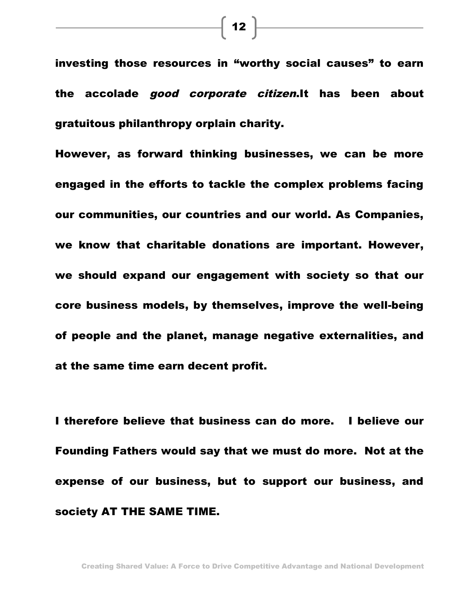**investing those resources in "worthy social causes" to earn the accolade** *good corporate citizen***.It has been about gratuitous philanthropy orplain charity.** 

**However, as forward thinking businesses, we can be more engaged in the efforts to tackle the complex problems facing our communities, our countries and our world. As Companies, we know that charitable donations are important. However, we should expand our engagement with society so that our core business models, by themselves, improve the well-being of people and the planet, manage negative externalities, and at the same time earn decent profit.**

**I therefore believe that business can do more. I believe our Founding Fathers would say that we must do more. Not at the expense of our business, but to support our business, and society AT THE SAME TIME.**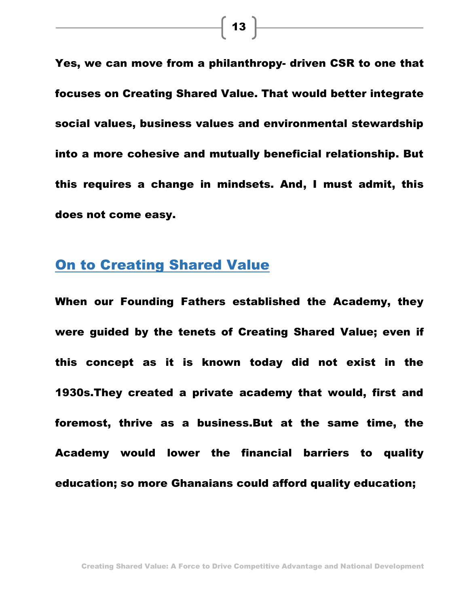**Yes, we can move from a philanthropy- driven CSR to one that focuses on Creating Shared Value. That would better integrate social values, business values and environmental stewardship into a more cohesive and mutually beneficial relationship. But this requires a change in mindsets. And, I must admit, this does not come easy.**

## **On to Creating Shared Value**

**When our Founding Fathers established the Academy, they were guided by the tenets of Creating Shared Value; even if this concept as it is known today did not exist in the 1930s.They created a private academy that would, first and foremost, thrive as a business.But at the same time, the Academy would lower the financial barriers to quality education; so more Ghanaians could afford quality education;**

**Creating Shared Value: A Force to Drive Competitive Advantage and National Development**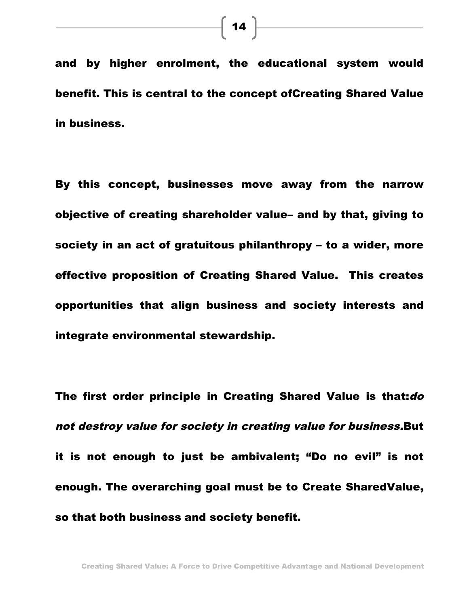**and by higher enrolment, the educational system would benefit. This is central to the concept ofCreating Shared Value in business.** 

**By this concept, businesses move away from the narrow objective of creating shareholder value– and by that, giving to society in an act of gratuitous philanthropy – to a wider, more effective proposition of Creating Shared Value. This creates opportunities that align business and society interests and integrate environmental stewardship.**

**The first order principle in Creating Shared Value is that:***do not destroy value for society in creating value for business.***But it is not enough to just be ambivalent; "Do no evil" is not enough. The overarching goal must be to Create SharedValue, so that both business and society benefit.**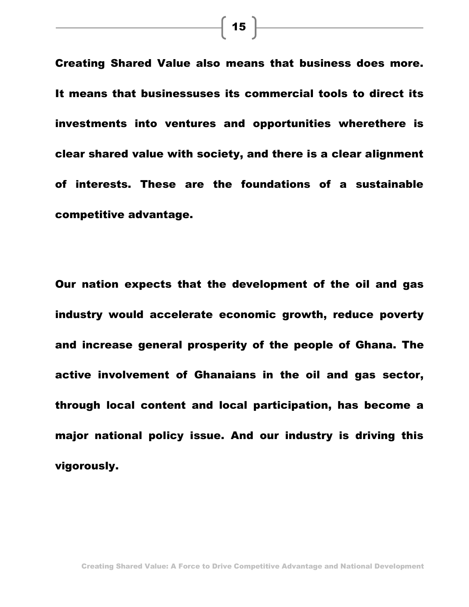**Creating Shared Value also means that business does more. It means that businessuses its commercial tools to direct its investments into ventures and opportunities wherethere is clear shared value with society, and there is a clear alignment of interests. These are the foundations of a sustainable competitive advantage.**

**Our nation expects that the development of the oil and gas industry would accelerate economic growth, reduce poverty and increase general prosperity of the people of Ghana. The active involvement of Ghanaians in the oil and gas sector, through local content and local participation, has become a major national policy issue. And our industry is driving this vigorously.** 

**Creating Shared Value: A Force to Drive Competitive Advantage and National Development**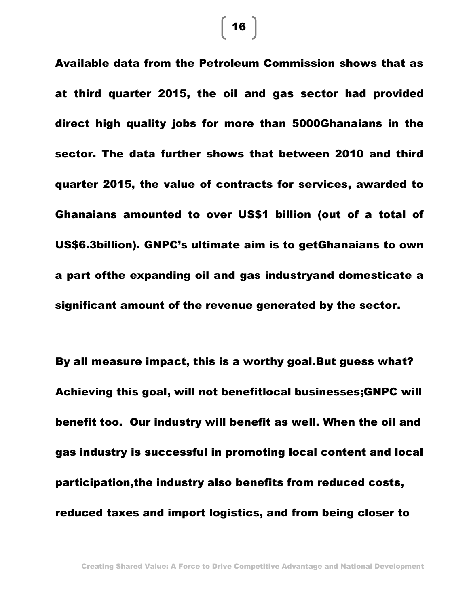**Available data from the Petroleum Commission shows that as at third quarter 2015, the oil and gas sector had provided direct high quality jobs for more than 5000Ghanaians in the sector. The data further shows that between 2010 and third quarter 2015, the value of contracts for services, awarded to Ghanaians amounted to over US\$1 billion (out of a total of US\$6.3billion). GNPC's ultimate aim is to getGhanaians to own a part ofthe expanding oil and gas industryand domesticate a significant amount of the revenue generated by the sector.**

**By all measure impact, this is a worthy goal.But guess what? Achieving this goal, will not benefitlocal businesses;GNPC will benefit too. Our industry will benefit as well. When the oil and gas industry is successful in promoting local content and local participation,the industry also benefits from reduced costs, reduced taxes and import logistics, and from being closer to** 

 $\begin{bmatrix} 16 \end{bmatrix}$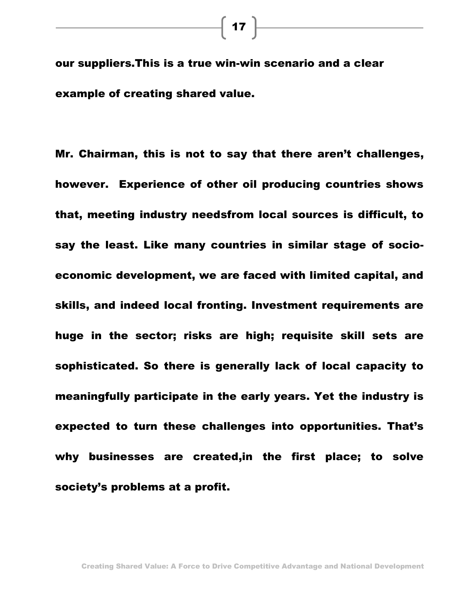**our suppliers.This is a true win-win scenario and a clear example of creating shared value.**

**Mr. Chairman, this is not to say that there aren't challenges, however. Experience of other oil producing countries shows that, meeting industry needsfrom local sources is difficult, to say the least. Like many countries in similar stage of socioeconomic development, we are faced with limited capital, and skills, and indeed local fronting. Investment requirements are huge in the sector; risks are high; requisite skill sets are sophisticated. So there is generally lack of local capacity to meaningfully participate in the early years. Yet the industry is expected to turn these challenges into opportunities. That's why businesses are created,in the first place; to solve society's problems at a profit.**

 $\left[\begin{array}{c} 17 \end{array}\right]$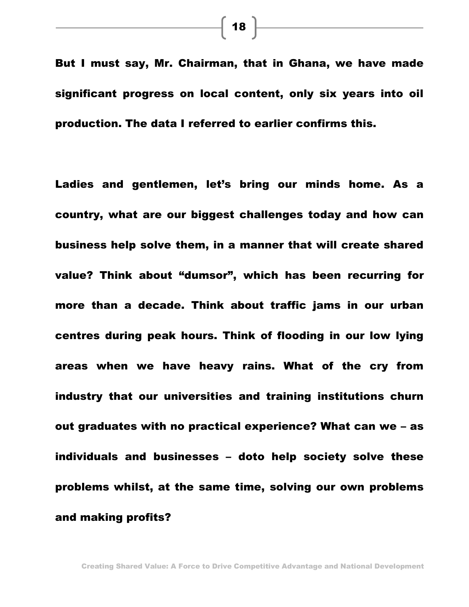$\left\lceil 18 \right\rceil$ 

**But I must say, Mr. Chairman, that in Ghana, we have made significant progress on local content, only six years into oil production. The data I referred to earlier confirms this.**

**Ladies and gentlemen, let's bring our minds home. As a country, what are our biggest challenges today and how can business help solve them, in a manner that will create shared value? Think about "dumsor" , which has been recurring for more than a decade. Think about traffic jams in our urban centres during peak hours. Think of flooding in our low lying areas when we have heavy rains. What of the cry from industry that our universities and training institutions churn out graduates with no practical experience? What can we – as individuals and businesses – doto help society solve these problems whilst, at the same time, solving our own problems and making profits?**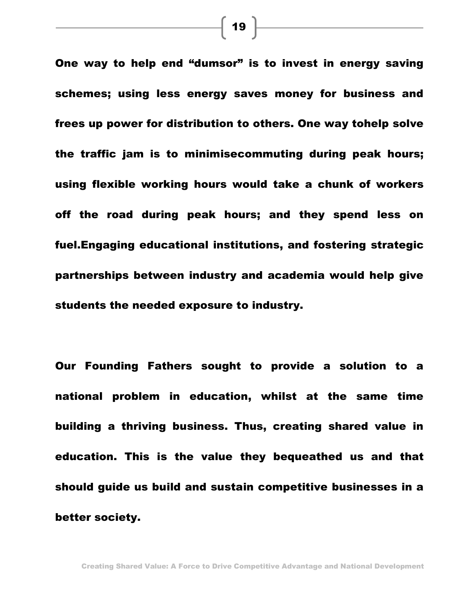**One way to help end "dumsor" is to invest in energy saving schemes; using less energy saves money for business and frees up power for distribution to others. One way tohelp solve the traffic jam is to minimisecommuting during peak hours; using flexible working hours would take a chunk of workers off the road during peak hours; and they spend less on fuel.Engaging educational institutions, and fostering strategic partnerships between industry and academia would help give students the needed exposure to industry.**

**Our Founding Fathers sought to provide a solution to a national problem in education, whilst at the same time building a thriving business. Thus, creating shared value in education. This is the value they bequeathed us and that should guide us build and sustain competitive businesses in a better society.**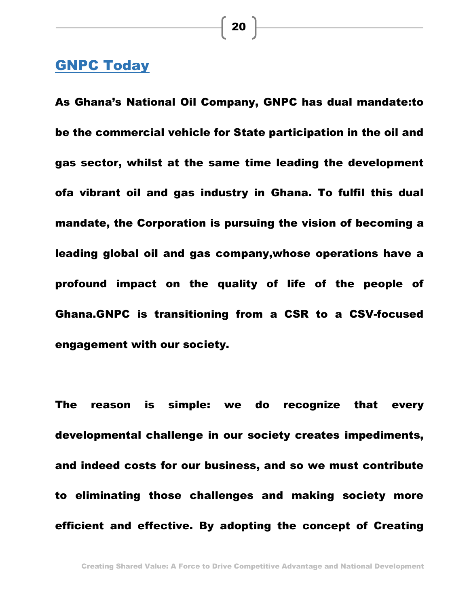# **GNPC Today**

**As Ghana's National Oil Company, GNPC has dual mandate:to be the commercial vehicle for State participation in the oil and gas sector, whilst at the same time leading the development ofa vibrant oil and gas industry in Ghana. To fulfil this dual mandate, the Corporation is pursuing the vision of becoming a leading global oil and gas company,whose operations have a profound impact on the quality of life of the people of Ghana.GNPC is transitioning from a CSR to a CSV-focused engagement with our society.**

**The reason is simple: we do recognize that every developmental challenge in our society creates impediments, and indeed costs for our business, and so we must contribute to eliminating those challenges and making society more efficient and effective. By adopting the concept of Creating**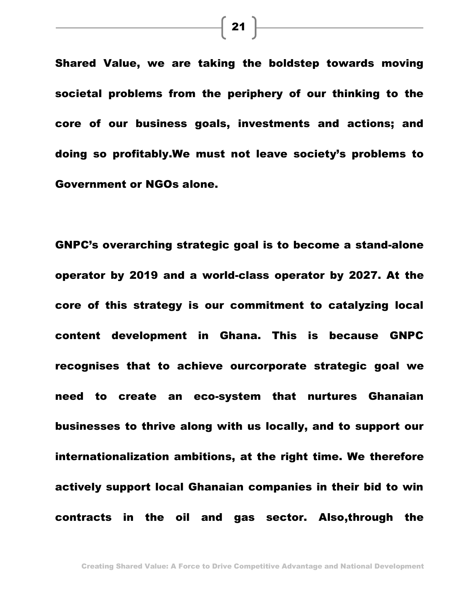**Shared Value, we are taking the boldstep towards moving societal problems from the periphery of our thinking to the core of our business goals, investments and actions; and doing so profitably.We must not leave society's problems to Government or NGOs alone.** 

**GNPC's overarching strategic goal is to become a stand-alone operator by 2019 and a world-class operator by 2027. At the core of this strategy is our commitment to catalyzing local content development in Ghana. This is because GNPC recognises that to achieve ourcorporate strategic goal we need to create an eco-system that nurtures Ghanaian businesses to thrive along with us locally, and to support our internationalization ambitions, at the right time. We therefore actively support local Ghanaian companies in their bid to win contracts in the oil and gas sector. Also,through the** 

 $\begin{array}{|c|c|c|}\hline \textbf{21} & \textcolor{red}{\overline{}} & \textcolor{red}{\overline{}} \\ \hline \end{array}$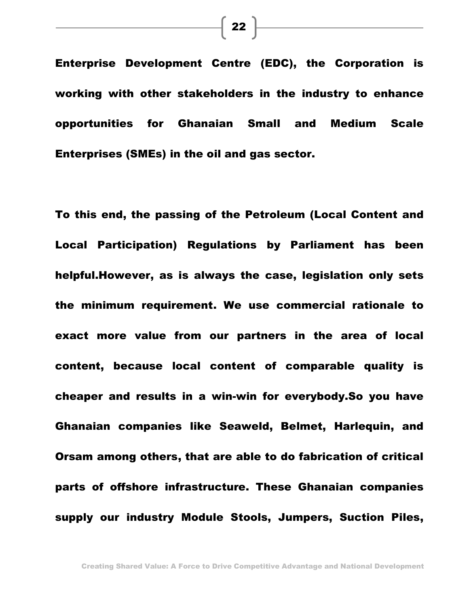**Enterprise Development Centre (EDC), the Corporation is working with other stakeholders in the industry to enhance opportunities for Ghanaian Small and Medium Scale Enterprises (SMEs) in the oil and gas sector.** 

**To this end, the passing of the Petroleum (Local Content and Local Participation) Regulations by Parliament has been helpful.However, as is always the case, legislation only sets the minimum requirement. We use commercial rationale to exact more value from our partners in the area of local content, because local content of comparable quality is cheaper and results in a win-win for everybody.So you have Ghanaian companies like Seaweld, Belmet, Harlequin, and Orsam among others, that are able to do fabrication of critical parts of offshore infrastructure. These Ghanaian companies supply our industry Module Stools, Jumpers, Suction Piles,**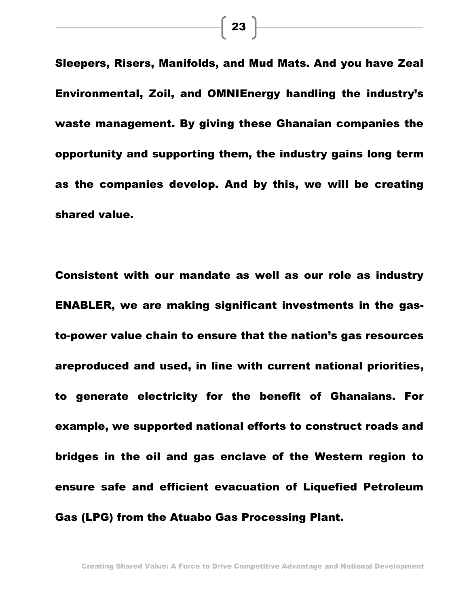**Sleepers, Risers, Manifolds, and Mud Mats. And you have Zeal Environmental, Zoil, and OMNIEnergy handling the industry's waste management. By giving these Ghanaian companies the opportunity and supporting them, the industry gains long term as the companies develop. And by this, we will be creating shared value.**

**Consistent with our mandate as well as our role as industry ENABLER, we are making significant investments in the gasto-power value chain to ensure that the nation's gas resources areproduced and used, in line with current national priorities, to generate electricity for the benefit of Ghanaians. For example, we supported national efforts to construct roads and bridges in the oil and gas enclave of the Western region to ensure safe and efficient evacuation of Liquefied Petroleum Gas (LPG) from the Atuabo Gas Processing Plant.** 

**Creating Shared Value: A Force to Drive Competitive Advantage and National Development**

 $\begin{bmatrix} 23 \end{bmatrix}$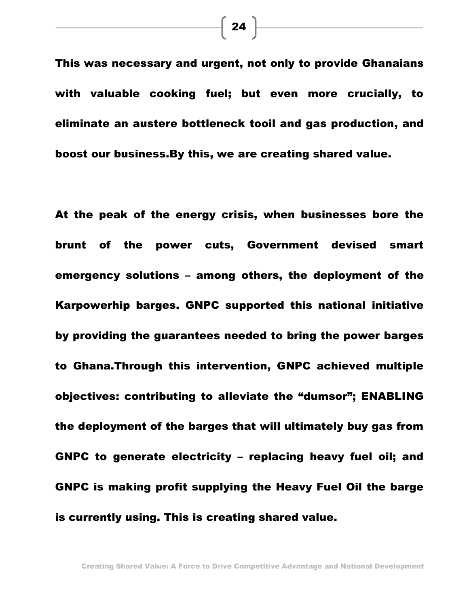**This was necessary and urgent, not only to provide Ghanaians with valuable cooking fuel; but even more crucially, to eliminate an austere bottleneck tooil and gas production, and boost our business.By this, we are creating shared value.** 

**At the peak of the energy crisis, when businesses bore the brunt of the power cuts, Government devised smart emergency solutions – among others, the deployment of the Karpowerhip barges. GNPC supported this national initiative by providing the guarantees needed to bring the power barges to Ghana.Through this intervention, GNPC achieved multiple objectives: contributing to alleviate the "dumsor"; ENABLING the deployment of the barges that will ultimately buy gas from GNPC to generate electricity – replacing heavy fuel oil; and GNPC is making profit supplying the Heavy Fuel Oil the barge is currently using. This is creating shared value.**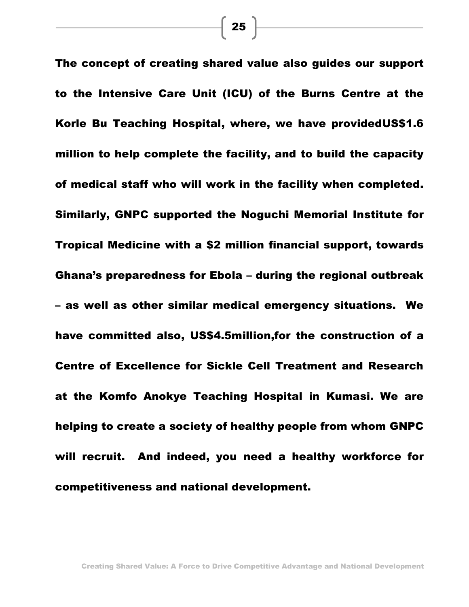**The concept of creating shared value also guides our support to the Intensive Care Unit (ICU) of the Burns Centre at the Korle Bu Teaching Hospital, where, we have providedUS\$1.6 million to help complete the facility, and to build the capacity of medical staff who will work in the facility when completed. Similarly, GNPC supported the Noguchi Memorial Institute for Tropical Medicine with a \$2 million financial support, towards Ghana's preparedness for Ebola – during the regional outbreak – as well as other similar medical emergency situations. We have committed also, US\$4.5million,for the construction of a Centre of Excellence for Sickle Cell Treatment and Research at the Komfo Anokye Teaching Hospital in Kumasi. We are helping to create a society of healthy people from whom GNPC will recruit. And indeed, you need a healthy workforce for competitiveness and national development.**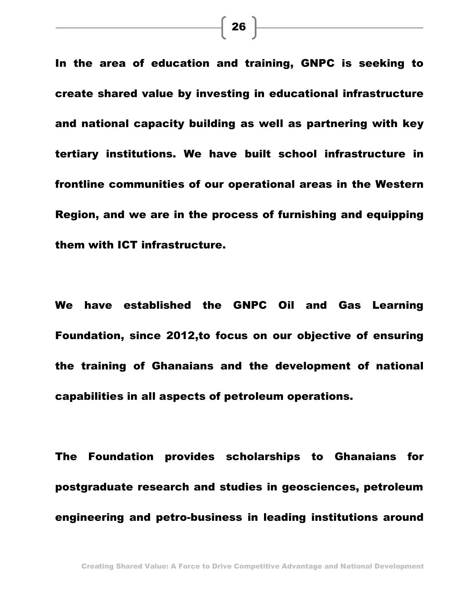**In the area of education and training, GNPC is seeking to create shared value by investing in educational infrastructure and national capacity building as well as partnering with key tertiary institutions. We have built school infrastructure in frontline communities of our operational areas in the Western Region, and we are in the process of furnishing and equipping them with ICT infrastructure.** 

**We have established the GNPC Oil and Gas Learning Foundation, since 2012,to focus on our objective of ensuring the training of Ghanaians and the development of national capabilities in all aspects of petroleum operations.** 

**The Foundation provides scholarships to Ghanaians for postgraduate research and studies in geosciences, petroleum engineering and petro-business in leading institutions around**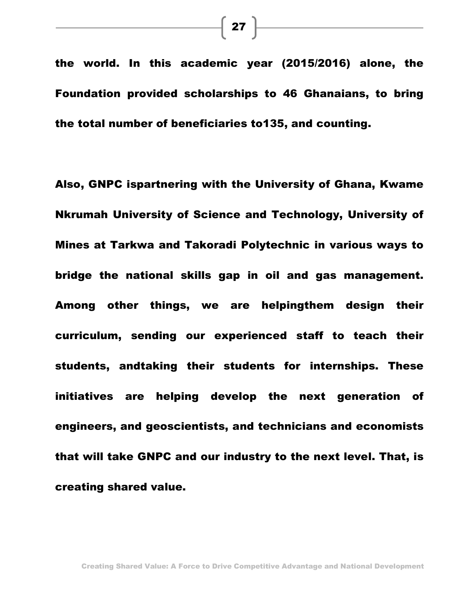**the world. In this academic year (2015/2016) alone, the Foundation provided scholarships to 46 Ghanaians, to bring the total number of beneficiaries to135, and counting.**

**Also, GNPC ispartnering with the University of Ghana, Kwame Nkrumah University of Science and Technology, University of Mines at Tarkwa and Takoradi Polytechnic in various ways to bridge the national skills gap in oil and gas management. Among other things, we are helpingthem design their curriculum, sending our experienced staff to teach their students, andtaking their students for internships. These initiatives are helping develop the next generation of engineers, and geoscientists, and technicians and economists that will take GNPC and our industry to the next level. That, is creating shared value.**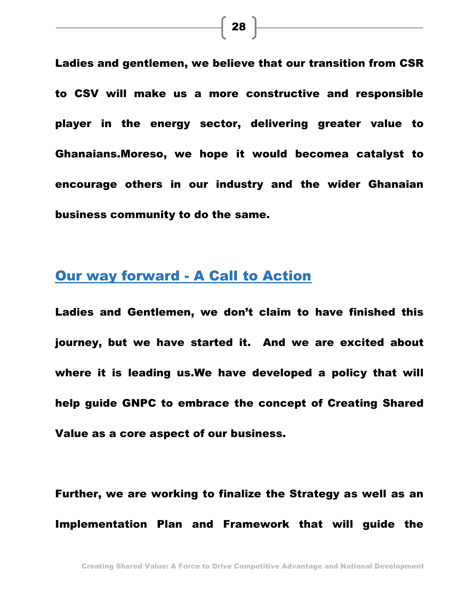**Ladies and gentlemen, we believe that our transition from CSR to CSV will make us a more constructive and responsible player in the energy sector, delivering greater value to Ghanaians.Moreso, we hope it would becomea catalyst to encourage others in our industry and the wider Ghanaian business community to do the same.**

## **Our way forward - A Call to Action**

**Ladies and Gentlemen, we don't claim to have finished this journey, but we have started it. And we are excited about where it is leading us.We have developed a policy that will help guide GNPC to embrace the concept of Creating Shared Value as a core aspect of our business.** 

**Further, we are working to finalize the Strategy as well as an Implementation Plan and Framework that will guide the**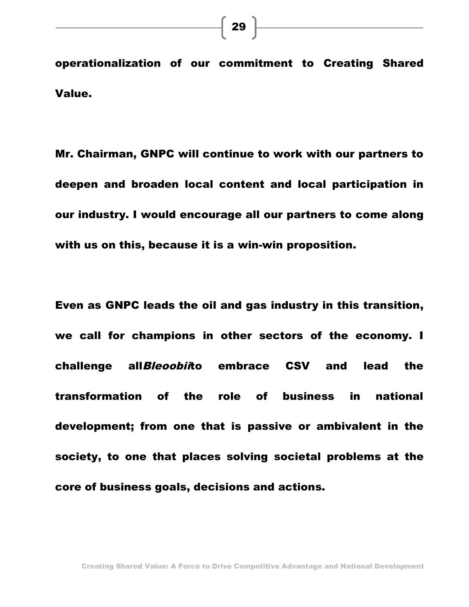**operationalization of our commitment to Creating Shared Value.**

**Mr. Chairman, GNPC will continue to work with our partners to deepen and broaden local content and local participation in our industry. I would encourage all our partners to come along with us on this, because it is a win-win proposition.**

**Even as GNPC leads the oil and gas industry in this transition, we call for champions in other sectors of the economy. I challenge all***Bleoobii***to embrace CSV and lead the transformation of the role of business in national development; from one that is passive or ambivalent in the society, to one that places solving societal problems at the core of business goals, decisions and actions.**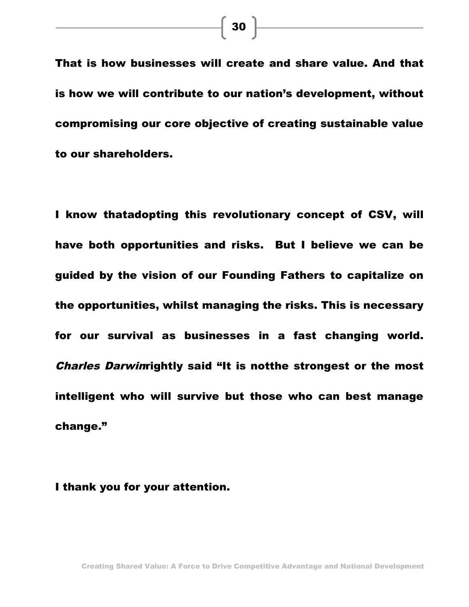**That is how businesses will create and share value. And that is how we will contribute to our nation's development, without compromising our core objective of creating sustainable value to our shareholders.** 

**I know thatadopting this revolutionary concept of CSV, will have both opportunities and risks. But I believe we can be guided by the vision of our Founding Fathers to capitalize on the opportunities, whilst managing the risks. This is necessary for our survival as businesses in a fast changing world.**  *Charles Darwin***rightly said "It is notthe strongest or the most intelligent who will survive but those who can best manage change."**

#### **I thank you for your attention.**